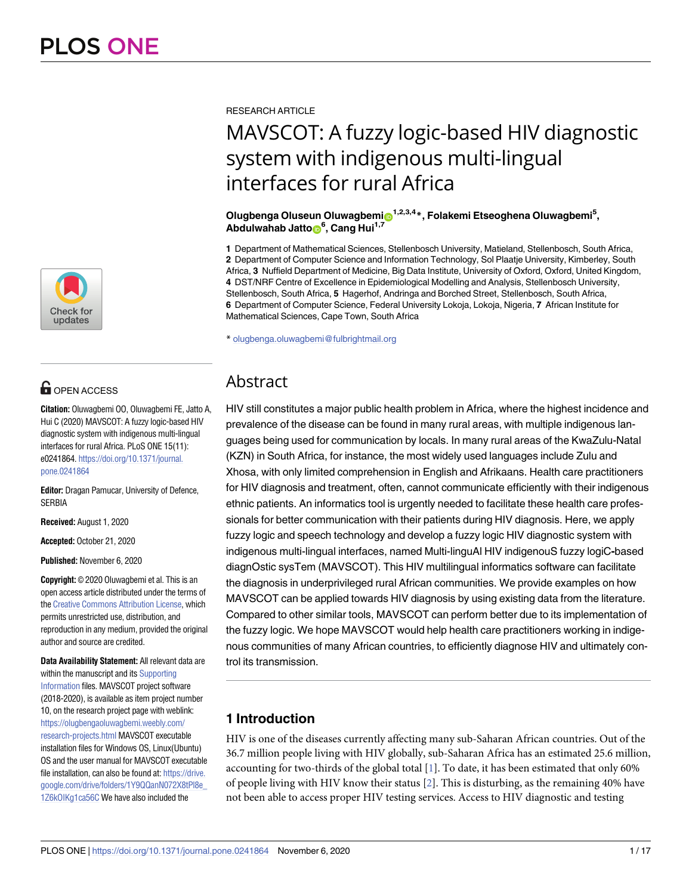

## **OPEN ACCESS**

**Citation:** Oluwagbemi OO, Oluwagbemi FE, Jatto A, Hui C (2020) MAVSCOT: A fuzzy logic-based HIV diagnostic system with indigenous multi-lingual interfaces for rural Africa. PLoS ONE 15(11): e0241864. [https://doi.org/10.1371/journal.](https://doi.org/10.1371/journal.pone.0241864) [pone.0241864](https://doi.org/10.1371/journal.pone.0241864)

**Editor:** Dragan Pamucar, University of Defence, **SERBIA** 

**Received:** August 1, 2020

**Accepted:** October 21, 2020

**Published:** November 6, 2020

**Copyright:** © 2020 Oluwagbemi et al. This is an open access article distributed under the terms of the Creative [Commons](http://creativecommons.org/licenses/by/4.0/) Attribution License, which permits unrestricted use, distribution, and reproduction in any medium, provided the original author and source are credited.

**Data Availability Statement:** All relevant data are within the manuscript and its [Supporting](#page-9-0) [Information](#page-9-0) files. MAVSCOT project software (2018-2020), is available as item project number 10, on the research project page with weblink: [https://olugbengaoluwagbemi.weebly.com/](https://olugbengaoluwagbemi.weebly.com/research-projects.html) [research-projects.html](https://olugbengaoluwagbemi.weebly.com/research-projects.html) MAVSCOT executable installation files for Windows OS, Linux(Ubuntu) OS and the user manual for MAVSCOT executable file installation, can also be found at: [https://drive.](https://drive.google.com/drive/folders/1Y9QQanN072X8tPl8e_1Z6kOIKg1ca56C) [google.com/drive/folders/1Y9QQanN072X8tPl8e\\_](https://drive.google.com/drive/folders/1Y9QQanN072X8tPl8e_1Z6kOIKg1ca56C) [1Z6kOIKg1ca56C](https://drive.google.com/drive/folders/1Y9QQanN072X8tPl8e_1Z6kOIKg1ca56C) We have also included the

<span id="page-0-0"></span>RESEARCH ARTICLE

# MAVSCOT: A fuzzy logic-based HIV diagnostic system with indigenous multi-lingual interfaces for rural Africa

 $\bm{\Theta}$ lugbenga Oluseun Oluwagbemi $\bm{\Theta}^{1,2,3,4}$ \*, Folakemi Etseoghena Oluwagbemi<sup>5</sup>,  $A$ bdulwahab Jatto $\bullet$ <sup>6</sup>, Cang Hui<sup>1,7</sup>

**1** Department of Mathematical Sciences, Stellenbosch University, Matieland, Stellenbosch, South Africa, **2** Department of Computer Science and Information Technology, Sol Plaatje University, Kimberley, South Africa, **3** Nuffield Department of Medicine, Big Data Institute, University of Oxford, Oxford, United Kingdom, **4** DST/NRF Centre of Excellence in Epidemiological Modelling and Analysis, Stellenbosch University, Stellenbosch, South Africa, **5** Hagerhof, Andringa and Borched Street, Stellenbosch, South Africa, **6** Department of Computer Science, Federal University Lokoja, Lokoja, Nigeria, **7** African Institute for Mathematical Sciences, Cape Town, South Africa

\* olugbenga.oluwagbemi@fulbrightmail.org

## Abstract

HIV still constitutes a major public health problem in Africa, where the highest incidence and prevalence of the disease can be found in many rural areas, with multiple indigenous languages being used for communication by locals. In many rural areas of the KwaZulu-Natal (KZN) in South Africa, for instance, the most widely used languages include Zulu and Xhosa, with only limited comprehension in English and Afrikaans. Health care practitioners for HIV diagnosis and treatment, often, cannot communicate efficiently with their indigenous ethnic patients. An informatics tool is urgently needed to facilitate these health care professionals for better communication with their patients during HIV diagnosis. Here, we apply fuzzy logic and speech technology and develop a fuzzy logic HIV diagnostic system with indigenous multi-lingual interfaces, named Multi-linguAl HIV indigenouS fuzzy logiC**-**based diagnOstic sysTem (MAVSCOT). This HIV multilingual informatics software can facilitate the diagnosis in underprivileged rural African communities. We provide examples on how MAVSCOT can be applied towards HIV diagnosis by using existing data from the literature. Compared to other similar tools, MAVSCOT can perform better due to its implementation of the fuzzy logic. We hope MAVSCOT would help health care practitioners working in indigenous communities of many African countries, to efficiently diagnose HIV and ultimately control its transmission.

### **1 Introduction**

HIV is one of the diseases currently affecting many sub-Saharan African countries. Out of the 36.7 million people living with HIV globally, sub-Saharan Africa has an estimated 25.6 million, accounting for two-thirds of the global total [\[1\]](#page-13-0). To date, it has been estimated that only 60% of people living with HIV know their status [[2](#page-13-0)]. This is disturbing, as the remaining 40% have not been able to access proper HIV testing services. Access to HIV diagnostic and testing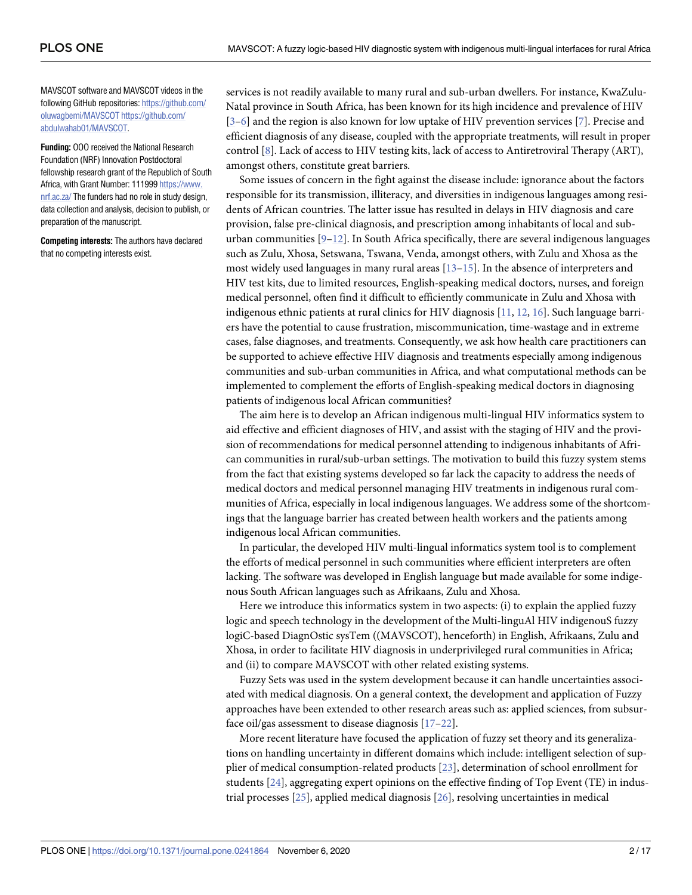<span id="page-1-0"></span>MAVSCOT software and MAVSCOT videos in the following GitHub repositories: [https://github.com/](https://github.com/oluwagbemi/MAVSCOT) [oluwagbemi/MAVSCOT](https://github.com/oluwagbemi/MAVSCOT) [https://github.com/](https://github.com/abdulwahab01/MAVSCOT) [abdulwahab01/MAVSCOT.](https://github.com/abdulwahab01/MAVSCOT)

**Funding:** OOO received the National Research Foundation (NRF) Innovation Postdoctoral fellowship research grant of the Republich of South Africa, with Grant Number: 111999 [https://www.](https://www.nrf.ac.za/) [nrf.ac.za/](https://www.nrf.ac.za/) The funders had no role in study design, data collection and analysis, decision to publish, or preparation of the manuscript.

**Competing interests:** The authors have declared that no competing interests exist.

services is not readily available to many rural and sub-urban dwellers. For instance, KwaZulu-Natal province in South Africa, has been known for its high incidence and prevalence of HIV [\[3–6](#page-13-0)] and the region is also known for low uptake of HIV prevention services [\[7\]](#page-13-0). Precise and efficient diagnosis of any disease, coupled with the appropriate treatments, will result in proper control [[8](#page-13-0)]. Lack of access to HIV testing kits, lack of access to Antiretroviral Therapy (ART), amongst others, constitute great barriers.

Some issues of concern in the fight against the disease include: ignorance about the factors responsible for its transmission, illiteracy, and diversities in indigenous languages among residents of African countries. The latter issue has resulted in delays in HIV diagnosis and care provision, false pre-clinical diagnosis, and prescription among inhabitants of local and suburban communities  $[9-12]$ . In South Africa specifically, there are several indigenous languages such as Zulu, Xhosa, Setswana, Tswana, Venda, amongst others, with Zulu and Xhosa as the most widely used languages in many rural areas  $[13-15]$  $[13-15]$  $[13-15]$ . In the absence of interpreters and HIV test kits, due to limited resources, English-speaking medical doctors, nurses, and foreign medical personnel, often find it difficult to efficiently communicate in Zulu and Xhosa with indigenous ethnic patients at rural clinics for HIV diagnosis [\[11,](#page-13-0) [12,](#page-13-0) [16\]](#page-14-0). Such language barriers have the potential to cause frustration, miscommunication, time-wastage and in extreme cases, false diagnoses, and treatments. Consequently, we ask how health care practitioners can be supported to achieve effective HIV diagnosis and treatments especially among indigenous communities and sub-urban communities in Africa, and what computational methods can be implemented to complement the efforts of English-speaking medical doctors in diagnosing patients of indigenous local African communities?

The aim here is to develop an African indigenous multi-lingual HIV informatics system to aid effective and efficient diagnoses of HIV, and assist with the staging of HIV and the provision of recommendations for medical personnel attending to indigenous inhabitants of African communities in rural/sub-urban settings. The motivation to build this fuzzy system stems from the fact that existing systems developed so far lack the capacity to address the needs of medical doctors and medical personnel managing HIV treatments in indigenous rural communities of Africa, especially in local indigenous languages. We address some of the shortcomings that the language barrier has created between health workers and the patients among indigenous local African communities.

In particular, the developed HIV multi-lingual informatics system tool is to complement the efforts of medical personnel in such communities where efficient interpreters are often lacking. The software was developed in English language but made available for some indigenous South African languages such as Afrikaans, Zulu and Xhosa.

Here we introduce this informatics system in two aspects: (i) to explain the applied fuzzy logic and speech technology in the development of the Multi-linguAl HIV indigenouS fuzzy logiC-based DiagnOstic sysTem ((MAVSCOT), henceforth) in English, Afrikaans, Zulu and Xhosa, in order to facilitate HIV diagnosis in underprivileged rural communities in Africa; and (ii) to compare MAVSCOT with other related existing systems.

Fuzzy Sets was used in the system development because it can handle uncertainties associated with medical diagnosis. On a general context, the development and application of Fuzzy approaches have been extended to other research areas such as: applied sciences, from subsurface oil/gas assessment to disease diagnosis [[17–22\]](#page-14-0).

More recent literature have focused the application of fuzzy set theory and its generalizations on handling uncertainty in different domains which include: intelligent selection of supplier of medical consumption-related products [\[23\]](#page-14-0), determination of school enrollment for students [\[24\]](#page-14-0), aggregating expert opinions on the effective finding of Top Event (TE) in industrial processes [\[25\]](#page-14-0), applied medical diagnosis [\[26](#page-14-0)], resolving uncertainties in medical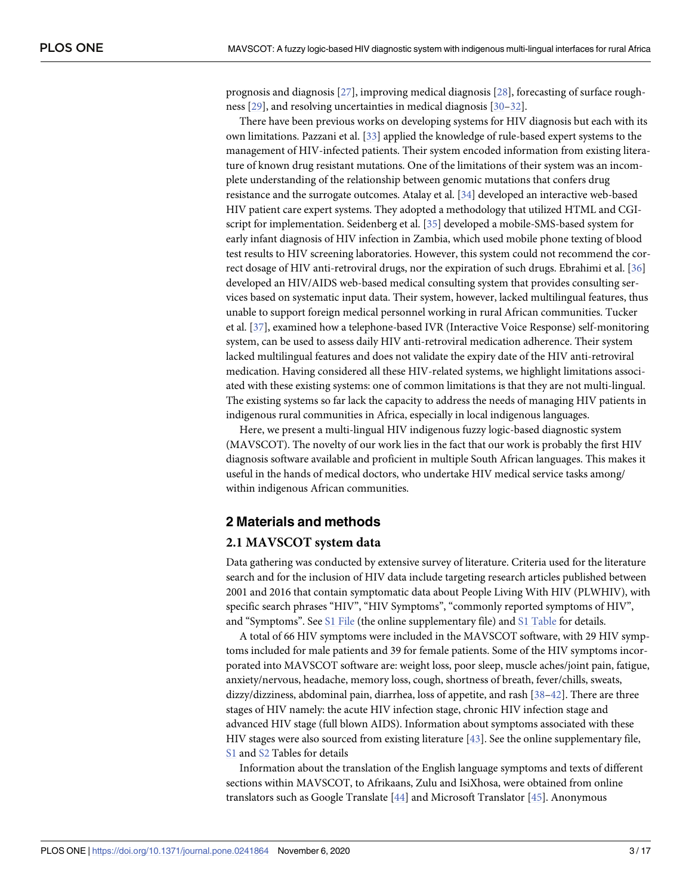<span id="page-2-0"></span>prognosis and diagnosis [[27](#page-14-0)], improving medical diagnosis [[28](#page-14-0)], forecasting of surface roughness [[29](#page-14-0)], and resolving uncertainties in medical diagnosis [[30](#page-14-0)–[32](#page-14-0)].

There have been previous works on developing systems for HIV diagnosis but each with its own limitations. Pazzani et al. [\[33\]](#page-15-0) applied the knowledge of rule-based expert systems to the management of HIV-infected patients. Their system encoded information from existing literature of known drug resistant mutations. One of the limitations of their system was an incomplete understanding of the relationship between genomic mutations that confers drug resistance and the surrogate outcomes. Atalay et al. [\[34\]](#page-15-0) developed an interactive web-based HIV patient care expert systems. They adopted a methodology that utilized HTML and CGIscript for implementation. Seidenberg et al. [[35](#page-15-0)] developed a mobile-SMS-based system for early infant diagnosis of HIV infection in Zambia, which used mobile phone texting of blood test results to HIV screening laboratories. However, this system could not recommend the correct dosage of HIV anti-retroviral drugs, nor the expiration of such drugs. Ebrahimi et al. [[36](#page-15-0)] developed an HIV/AIDS web-based medical consulting system that provides consulting services based on systematic input data. Their system, however, lacked multilingual features, thus unable to support foreign medical personnel working in rural African communities. Tucker et al. [\[37\]](#page-15-0), examined how a telephone-based IVR (Interactive Voice Response) self-monitoring system, can be used to assess daily HIV anti-retroviral medication adherence. Their system lacked multilingual features and does not validate the expiry date of the HIV anti-retroviral medication. Having considered all these HIV-related systems, we highlight limitations associated with these existing systems: one of common limitations is that they are not multi-lingual. The existing systems so far lack the capacity to address the needs of managing HIV patients in indigenous rural communities in Africa, especially in local indigenous languages.

Here, we present a multi-lingual HIV indigenous fuzzy logic-based diagnostic system (MAVSCOT). The novelty of our work lies in the fact that our work is probably the first HIV diagnosis software available and proficient in multiple South African languages. This makes it useful in the hands of medical doctors, who undertake HIV medical service tasks among/ within indigenous African communities.

#### **2 Materials and methods**

#### **2.1 MAVSCOT system data**

Data gathering was conducted by extensive survey of literature. Criteria used for the literature search and for the inclusion of HIV data include targeting research articles published between 2001 and 2016 that contain symptomatic data about People Living With HIV (PLWHIV), with specific search phrases "HIV", "HIV Symptoms", "commonly reported symptoms of HIV", and "Symptoms". See S1 [File](#page-12-0) (the online supplementary file) and S1 [Table](#page-10-0) for details.

A total of 66 HIV symptoms were included in the MAVSCOT software, with 29 HIV symptoms included for male patients and 39 for female patients. Some of the HIV symptoms incorporated into MAVSCOT software are: weight loss, poor sleep, muscle aches/joint pain, fatigue, anxiety/nervous, headache, memory loss, cough, shortness of breath, fever/chills, sweats, dizzy/dizziness, abdominal pain, diarrhea, loss of appetite, and rash [[38–42\]](#page-15-0). There are three stages of HIV namely: the acute HIV infection stage, chronic HIV infection stage and advanced HIV stage (full blown AIDS). Information about symptoms associated with these HIV stages were also sourced from existing literature [[43](#page-15-0)]. See the online supplementary file, [S1](#page-10-0) and [S2](#page-10-0) Tables for details

Information about the translation of the English language symptoms and texts of different sections within MAVSCOT, to Afrikaans, Zulu and IsiXhosa, were obtained from online translators such as Google Translate [\[44](#page-15-0)] and Microsoft Translator [\[45\]](#page-15-0). Anonymous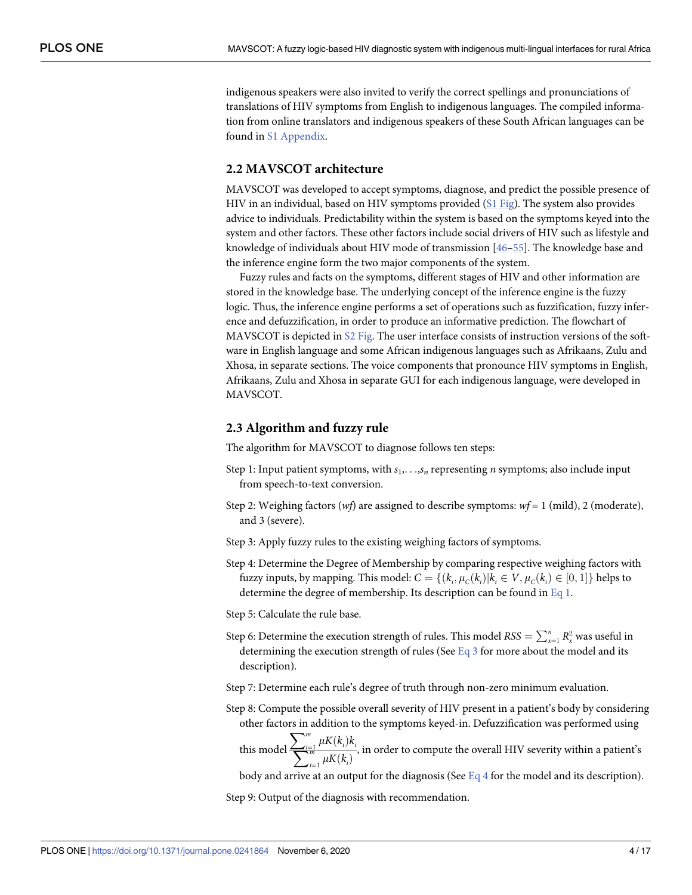<span id="page-3-0"></span>indigenous speakers were also invited to verify the correct spellings and pronunciations of translations of HIV symptoms from English to indigenous languages. The compiled information from online translators and indigenous speakers of these South African languages can be found in S1 [Appendix.](#page-12-0)

#### **2.2 MAVSCOT architecture**

MAVSCOT was developed to accept symptoms, diagnose, and predict the possible presence of HIV in an individual, based on HIV symptoms provided (S1 [Fig\)](#page-9-0). The system also provides advice to individuals. Predictability within the system is based on the symptoms keyed into the system and other factors. These other factors include social drivers of HIV such as lifestyle and knowledge of individuals about HIV mode of transmission [\[46–](#page-15-0)[55\]](#page-16-0). The knowledge base and the inference engine form the two major components of the system.

Fuzzy rules and facts on the symptoms, different stages of HIV and other information are stored in the knowledge base. The underlying concept of the inference engine is the fuzzy logic. Thus, the inference engine performs a set of operations such as fuzzification, fuzzy inference and defuzzification, in order to produce an informative prediction. The flowchart of MAVSCOT is depicted in S2 [Fig](#page-10-0). The user interface consists of instruction versions of the software in English language and some African indigenous languages such as Afrikaans, Zulu and Xhosa, in separate sections. The voice components that pronounce HIV symptoms in English, Afrikaans, Zulu and Xhosa in separate GUI for each indigenous language, were developed in MAVSCOT.

#### **2.3 Algorithm and fuzzy rule**

The algorithm for MAVSCOT to diagnose follows ten steps:

- Step 1: Input patient symptoms, with  $s_1, \ldots, s_n$  representing *n* symptoms; also include input from speech-to-text conversion.
- Step 2: Weighing factors (*wf*) are assigned to describe symptoms: *wf* = 1 (mild), 2 (moderate), and 3 (severe).
- Step 3: Apply fuzzy rules to the existing weighing factors of symptoms.
- Step 4: Determine the Degree of Membership by comparing respective weighing factors with fuzzy inputs, by mapping. This model:  $C = \{(k_i, \mu_C(k_i) | k_i \in V, \mu_C(k_i) \in [0, 1]\}$  helps to determine the degree of membership. Its description can be found in [Eq](#page-4-0) 1.
- Step 5: Calculate the rule base.
- Step 6: Determine the execution strength of rules. This model  $RSS = \sum_{x=1}^{n} R_{x}^{2}$  was useful in determining the execution strength of rules (See  $Eq_3$  $Eq_3$  for more about the model and its description).
- Step 7: Determine each rule's degree of truth through non-zero minimum evaluation.
- Step 8: Compute the possible overall severity of HIV present in a patient's body by considering other factors in addition to the symptoms keyed-in. Defuzzification was performed using  $\sum_{m}$ 
	- this model  $\sum_{i=1}^m \frac{\mu K(k_i) k_i}{\mu K(k_i)}$ , in order to compute the overall HIV severity within a patient's

body and arrive at an output for the diagnosis (See  $Eq 4$  $Eq 4$  for the model and its description).

Step 9: Output of the diagnosis with recommendation.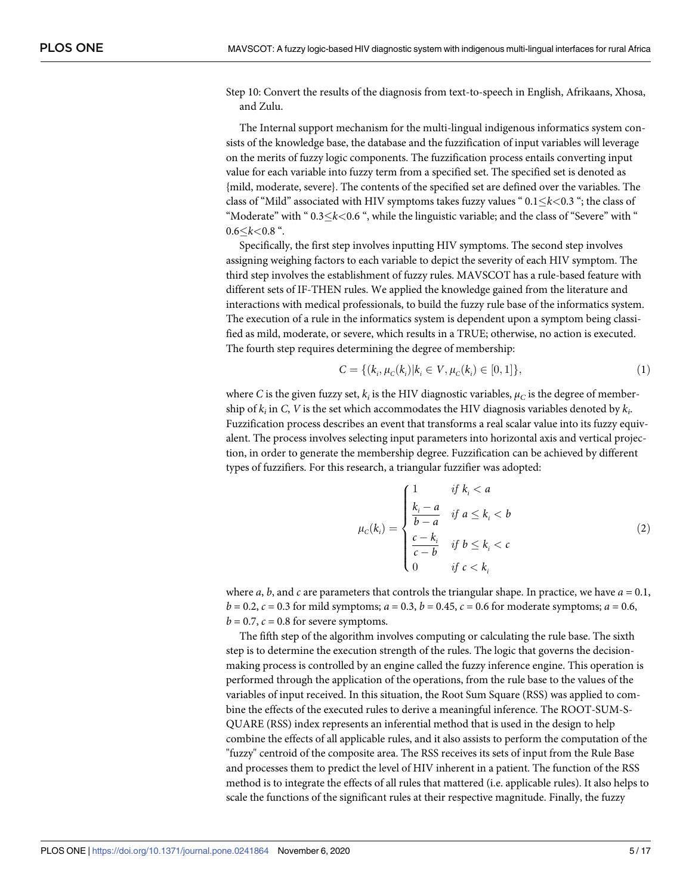<span id="page-4-0"></span>Step 10: Convert the results of the diagnosis from text-to-speech in English, Afrikaans, Xhosa, and Zulu.

The Internal support mechanism for the multi-lingual indigenous informatics system consists of the knowledge base, the database and the fuzzification of input variables will leverage on the merits of fuzzy logic components. The fuzzification process entails converting input value for each variable into fuzzy term from a specified set. The specified set is denoted as {mild, moderate, severe}. The contents of the specified set are defined over the variables. The class of "Mild" associated with HIV symptoms takes fuzzy values " 0.1�*k<*0.3 "; the class of "Moderate" with "  $0.3 \le k < 0.6$  ", while the linguistic variable; and the class of "Severe" with "  $0.6 < k < 0.8$  ".

Specifically, the first step involves inputting HIV symptoms. The second step involves assigning weighing factors to each variable to depict the severity of each HIV symptom. The third step involves the establishment of fuzzy rules. MAVSCOT has a rule-based feature with different sets of IF-THEN rules. We applied the knowledge gained from the literature and interactions with medical professionals, to build the fuzzy rule base of the informatics system. The execution of a rule in the informatics system is dependent upon a symptom being classified as mild, moderate, or severe, which results in a TRUE; otherwise, no action is executed. The fourth step requires determining the degree of membership:

$$
C = \{(k_i, \mu_C(k_i) | k_i \in V, \mu_C(k_i) \in [0, 1]\},\tag{1}
$$

where *C* is the given fuzzy set,  $k_i$  is the HIV diagnostic variables,  $\mu_C$  is the degree of membership of  $k_i$  in *C*, *V* is the set which accommodates the HIV diagnosis variables denoted by  $k_i$ . Fuzzification process describes an event that transforms a real scalar value into its fuzzy equivalent. The process involves selecting input parameters into horizontal axis and vertical projection, in order to generate the membership degree. Fuzzification can be achieved by different types of fuzzifiers. For this research, a triangular fuzzifier was adopted:

$$
\mu_{c}(k_{i}) = \begin{cases}\n1 & \text{if } k_{i} < a \\
\frac{k_{i} - a}{b - a} & \text{if } a \leq k_{i} < b \\
\frac{c - k_{i}}{c - b} & \text{if } b \leq k_{i} < c \\
0 & \text{if } c < k_{i}\n\end{cases}
$$
\n(2)

where *a*, *b*, and *c* are parameters that controls the triangular shape. In practice, we have  $a = 0.1$ ,  $b = 0.2$ ,  $c = 0.3$  for mild symptoms;  $a = 0.3$ ,  $b = 0.45$ ,  $c = 0.6$  for moderate symptoms;  $a = 0.6$ ,  $b = 0.7$ ,  $c = 0.8$  for severe symptoms.

The fifth step of the algorithm involves computing or calculating the rule base. The sixth step is to determine the execution strength of the rules. The logic that governs the decisionmaking process is controlled by an engine called the fuzzy inference engine. This operation is performed through the application of the operations, from the rule base to the values of the variables of input received. In this situation, the Root Sum Square (RSS) was applied to combine the effects of the executed rules to derive a meaningful inference. The ROOT-SUM-S-QUARE (RSS) index represents an inferential method that is used in the design to help combine the effects of all applicable rules, and it also assists to perform the computation of the "fuzzy" centroid of the composite area. The RSS receives its sets of input from the Rule Base and processes them to predict the level of HIV inherent in a patient. The function of the RSS method is to integrate the effects of all rules that mattered (i.e. applicable rules). It also helps to scale the functions of the significant rules at their respective magnitude. Finally, the fuzzy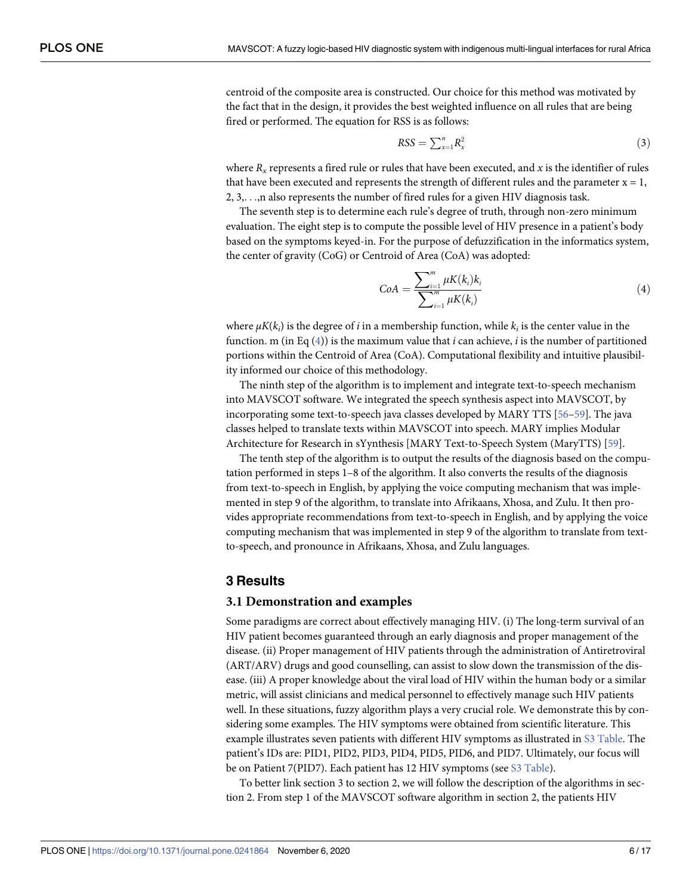<span id="page-5-0"></span>centroid of the composite area is constructed. Our choice for this method was motivated by the fact that in the design, it provides the best weighted influence on all rules that are being fired or performed. The equation for RSS is as follows:

$$
RSS = \sum_{x=1}^{n} R_x^2 \tag{3}
$$

where  $R_x$  represents a fired rule or rules that have been executed, and  $x$  is the identifier of rules that have been executed and represents the strength of different rules and the parameter  $x = 1$ , 2, 3,. . .,n also represents the number of fired rules for a given HIV diagnosis task.

The seventh step is to determine each rule's degree of truth, through non-zero minimum evaluation. The eight step is to compute the possible level of HIV presence in a patient's body based on the symptoms keyed-in. For the purpose of defuzzification in the informatics system, the center of gravity (CoG) or Centroid of Area (CoA) was adopted:

$$
CoA = \frac{\sum_{i=1}^{m} \mu K(k_i) k_i}{\sum_{i=1}^{m} \mu K(k_i)}
$$
(4)

where  $\mu K(k_i)$  is the degree of *i* in a membership function, while  $k_i$  is the center value in the function. m (in Eq (4)) is the maximum value that *i* can achieve, *i* is the number of partitioned portions within the Centroid of Area (CoA). Computational flexibility and intuitive plausibility informed our choice of this methodology.

The ninth step of the algorithm is to implement and integrate text-to-speech mechanism into MAVSCOT software. We integrated the speech synthesis aspect into MAVSCOT, by incorporating some text-to-speech java classes developed by MARY TTS [[56–59\]](#page-16-0). The java classes helped to translate texts within MAVSCOT into speech. MARY implies Modular Architecture for Research in sYynthesis [MARY Text-to-Speech System (MaryTTS) [[59](#page-16-0)].

The tenth step of the algorithm is to output the results of the diagnosis based on the computation performed in steps 1–8 of the algorithm. It also converts the results of the diagnosis from text-to-speech in English, by applying the voice computing mechanism that was implemented in step 9 of the algorithm, to translate into Afrikaans, Xhosa, and Zulu. It then provides appropriate recommendations from text-to-speech in English, and by applying the voice computing mechanism that was implemented in step 9 of the algorithm to translate from textto-speech, and pronounce in Afrikaans, Xhosa, and Zulu languages.

#### **3 Results**

#### **3.1 Demonstration and examples**

Some paradigms are correct about effectively managing HIV. (i) The long-term survival of an HIV patient becomes guaranteed through an early diagnosis and proper management of the disease. (ii) Proper management of HIV patients through the administration of Antiretroviral (ART/ARV) drugs and good counselling, can assist to slow down the transmission of the disease. (iii) A proper knowledge about the viral load of HIV within the human body or a similar metric, will assist clinicians and medical personnel to effectively manage such HIV patients well. In these situations, fuzzy algorithm plays a very crucial role. We demonstrate this by considering some examples. The HIV symptoms were obtained from scientific literature. This example illustrates seven patients with different HIV symptoms as illustrated in S3 [Table](#page-10-0). The patient's IDs are: PID1, PID2, PID3, PID4, PID5, PID6, and PID7. Ultimately, our focus will be on Patient 7(PID7). Each patient has 12 HIV symptoms (see S3 [Table](#page-10-0)).

To better link section 3 to section 2, we will follow the description of the algorithms in section 2. From step 1 of the MAVSCOT software algorithm in section 2, the patients HIV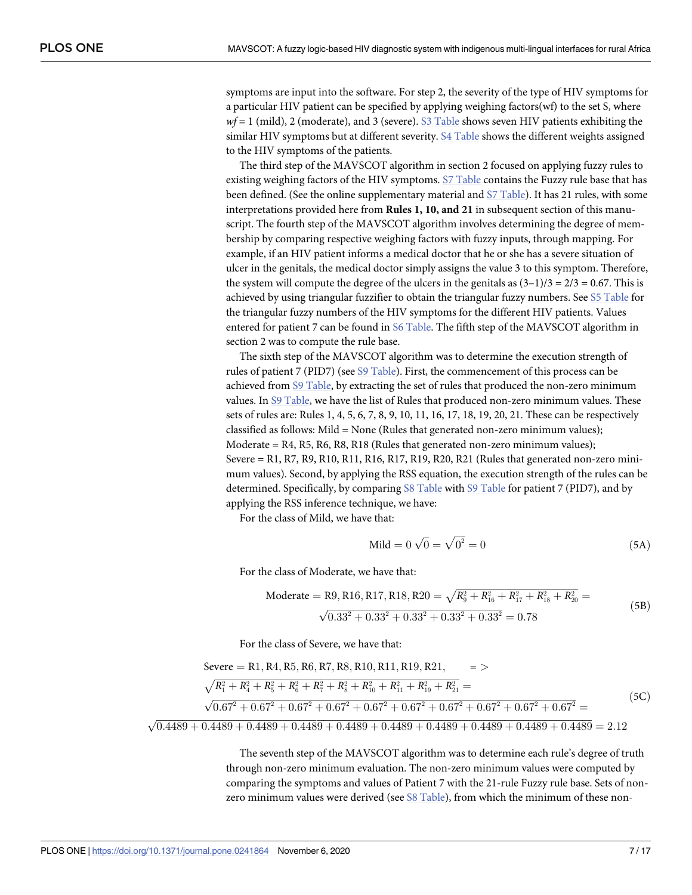<span id="page-6-0"></span>symptoms are input into the software. For step 2, the severity of the type of HIV symptoms for a particular HIV patient can be specified by applying weighing factors(wf) to the set S, where *wf* = 1 (mild), 2 (moderate), and 3 (severe). S3 [Table](#page-10-0) shows seven HIV patients exhibiting the similar HIV symptoms but at different severity. S4 [Table](#page-10-0) shows the different weights assigned to the HIV symptoms of the patients.

The third step of the MAVSCOT algorithm in section 2 focused on applying fuzzy rules to existing weighing factors of the HIV symptoms. S7 [Table](#page-11-0) contains the Fuzzy rule base that has been defined. (See the online supplementary material and S7 [Table\)](#page-11-0). It has 21 rules, with some interpretations provided here from **Rules 1, 10, and 21** in subsequent section of this manuscript. The fourth step of the MAVSCOT algorithm involves determining the degree of membership by comparing respective weighing factors with fuzzy inputs, through mapping. For example, if an HIV patient informs a medical doctor that he or she has a severe situation of ulcer in the genitals, the medical doctor simply assigns the value 3 to this symptom. Therefore, the system will compute the degree of the ulcers in the genitals as  $(3-1)/3 = 2/3 = 0.67$ . This is achieved by using triangular fuzzifier to obtain the triangular fuzzy numbers. See S5 [Table](#page-10-0) for the triangular fuzzy numbers of the HIV symptoms for the different HIV patients. Values entered for patient 7 can be found in S6 [Table](#page-11-0). The fifth step of the MAVSCOT algorithm in section 2 was to compute the rule base.

The sixth step of the MAVSCOT algorithm was to determine the execution strength of rules of patient 7 (PID7) (see S9 [Table](#page-11-0)). First, the commencement of this process can be achieved from S9 [Table,](#page-11-0) by extracting the set of rules that produced the non-zero minimum values. In S9 [Table,](#page-11-0) we have the list of Rules that produced non-zero minimum values. These sets of rules are: Rules 1, 4, 5, 6, 7, 8, 9, 10, 11, 16, 17, 18, 19, 20, 21. These can be respectively classified as follows: Mild = None (Rules that generated non-zero minimum values); Moderate =  $R4$ ,  $R5$ ,  $R6$ ,  $R8$ ,  $R18$  (Rules that generated non-zero minimum values); Severe = R1, R7, R9, R10, R11, R16, R17, R19, R20, R21 (Rules that generated non-zero minimum values). Second, by applying the RSS equation, the execution strength of the rules can be determined. Specifically, by comparing S8 [Table](#page-11-0) with S9 [Table](#page-11-0) for patient 7 (PID7), and by applying the RSS inference technique, we have:

For the class of Mild, we have that:

$$
Mild = 0 \sqrt{0} = \sqrt{0^2} = 0
$$
\n(5A)

For the class of Moderate, we have that:

Modernate = R9, R16, R17, R18, R20 = 
$$
\sqrt{R_9^2 + R_{16}^2 + R_{17}^2 + R_{18}^2 + R_{20}^2} = \sqrt{0.33^2 + 0.33^2 + 0.33^2 + 0.33^2 + 0.33^2} = 0.78
$$
\n(5B)

For the class of Severe, we have that:

$$
Severe = R1, R4, R5, R6, R7, R8, R10, R11, R19, R21, =>
$$
\n
$$
\sqrt{R_1^2 + R_4^2 + R_5^2 + R_6^2 + R_7^2 + R_8^2 + R_{10}^2 + R_{11}^2 + R_{19}^2 + R_{21}^2} =
$$
\n
$$
\sqrt{0.67^2 + 0.67^2 + 0.67^2 + 0.67^2 + 0.67^2 + 0.67^2 + 0.67^2 + 0.67^2 + 0.67^2 + 0.67^2} =
$$
\n(5C)

 $\sqrt{0.4489 + 0.4489 + 0.4489 + 0.4489 + 0.4489 + 0.4489 + 0.4489 + 0.4489 + 0.4489 + 0.4489 + 0.4489} = 2.12$ 

The seventh step of the MAVSCOT algorithm was to determine each rule's degree of truth through non-zero minimum evaluation. The non-zero minimum values were computed by comparing the symptoms and values of Patient 7 with the 21-rule Fuzzy rule base. Sets of nonzero minimum values were derived (see S8 [Table\)](#page-11-0), from which the minimum of these non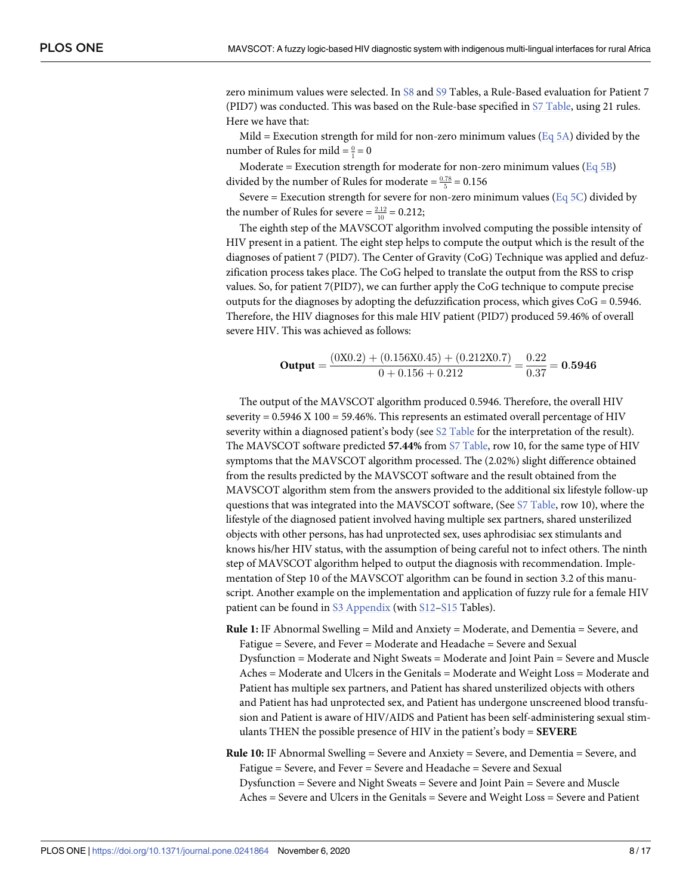zero minimum values were selected. In [S8](#page-11-0) and [S9](#page-11-0) Tables, a Rule-Based evaluation for Patient 7 (PID7) was conducted. This was based on the Rule-base specified in S7 [Table](#page-11-0), using 21 rules. Here we have that:

Mild = Execution strength for mild for non-zero minimum values (Eq [5A](#page-6-0)) divided by the number of Rules for mild  $=\frac{0}{1}=0$ 

Moderate = Execution strength for moderate for non-zero minimum values ( $Eq 5B$ ) divided by the number of Rules for moderate  $=$   $\frac{0.78}{5}$   $=$  0.156

Severe = Execution strength for severe for non-zero minimum values ( $Eq 5C$  $Eq 5C$ ) divided by the number of Rules for severe  $=$   $\frac{2.12}{10}$  = 0.212;

The eighth step of the MAVSCOT algorithm involved computing the possible intensity of HIV present in a patient. The eight step helps to compute the output which is the result of the diagnoses of patient 7 (PID7). The Center of Gravity (CoG) Technique was applied and defuzzification process takes place. The CoG helped to translate the output from the RSS to crisp values. So, for patient 7(PID7), we can further apply the CoG technique to compute precise outputs for the diagnoses by adopting the defuzzification process, which gives  $CoG = 0.5946$ . Therefore, the HIV diagnoses for this male HIV patient (PID7) produced 59.46% of overall severe HIV. This was achieved as follows:

Output = 
$$
\frac{(0X0.2) + (0.156X0.45) + (0.212X0.7)}{0 + 0.156 + 0.212} = \frac{0.22}{0.37} = 0.5946
$$

The output of the MAVSCOT algorithm produced 0.5946. Therefore, the overall HIV severity =  $0.5946$  X 100 = 59.46%. This represents an estimated overall percentage of HIV severity within a diagnosed patient's body (see S2 [Table](#page-10-0) for the interpretation of the result). The MAVSCOT software predicted **57.44%** from S7 [Table,](#page-11-0) row 10, for the same type of HIV symptoms that the MAVSCOT algorithm processed. The (2.02%) slight difference obtained from the results predicted by the MAVSCOT software and the result obtained from the MAVSCOT algorithm stem from the answers provided to the additional six lifestyle follow-up questions that was integrated into the MAVSCOT software, (See S7 [Table,](#page-11-0) row 10), where the lifestyle of the diagnosed patient involved having multiple sex partners, shared unsterilized objects with other persons, has had unprotected sex, uses aphrodisiac sex stimulants and knows his/her HIV status, with the assumption of being careful not to infect others. The ninth step of MAVSCOT algorithm helped to output the diagnosis with recommendation. Implementation of Step 10 of the MAVSCOT algorithm can be found in section 3.2 of this manuscript. Another example on the implementation and application of fuzzy rule for a female HIV patient can be found in S3 [Appendix](#page-12-0) (with [S12](#page-11-0)–[S15](#page-12-0) Tables).

- **Rule 1:** IF Abnormal Swelling = Mild and Anxiety = Moderate, and Dementia = Severe, and Fatigue = Severe, and Fever = Moderate and Headache = Severe and Sexual Dysfunction = Moderate and Night Sweats = Moderate and Joint Pain = Severe and Muscle Aches = Moderate and Ulcers in the Genitals = Moderate and Weight Loss = Moderate and Patient has multiple sex partners, and Patient has shared unsterilized objects with others and Patient has had unprotected sex, and Patient has undergone unscreened blood transfusion and Patient is aware of HIV/AIDS and Patient has been self-administering sexual stimulants THEN the possible presence of HIV in the patient's body = **SEVERE**
- **Rule 10:** IF Abnormal Swelling = Severe and Anxiety = Severe, and Dementia = Severe, and Fatigue = Severe, and Fever = Severe and Headache = Severe and Sexual Dysfunction = Severe and Night Sweats = Severe and Joint Pain = Severe and Muscle Aches = Severe and Ulcers in the Genitals = Severe and Weight Loss = Severe and Patient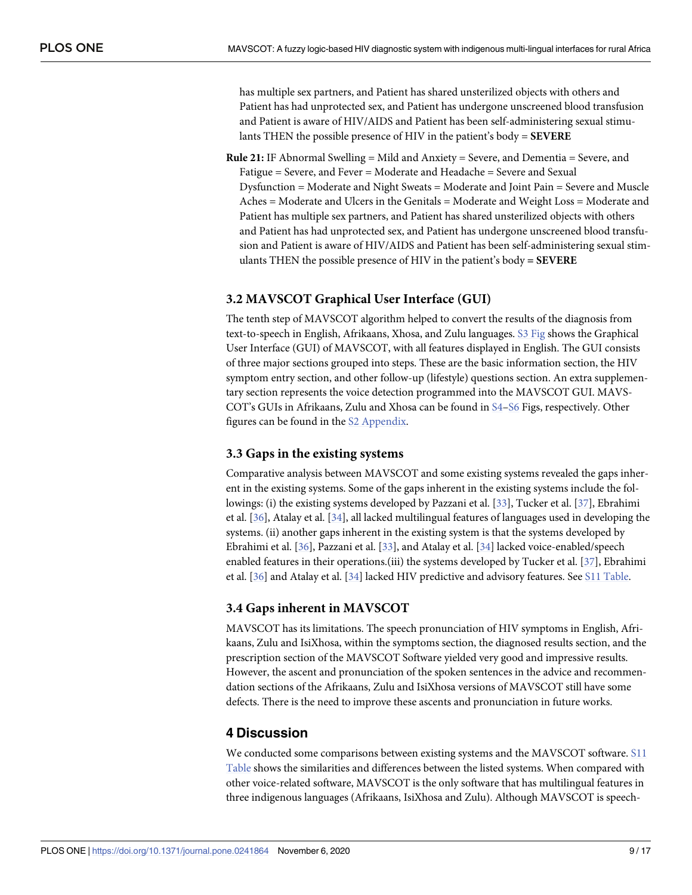has multiple sex partners, and Patient has shared unsterilized objects with others and Patient has had unprotected sex, and Patient has undergone unscreened blood transfusion and Patient is aware of HIV/AIDS and Patient has been self-administering sexual stimulants THEN the possible presence of HIV in the patient's body = **SEVERE**

**Rule 21:** IF Abnormal Swelling = Mild and Anxiety = Severe, and Dementia = Severe, and Fatigue = Severe, and Fever = Moderate and Headache = Severe and Sexual Dysfunction = Moderate and Night Sweats = Moderate and Joint Pain = Severe and Muscle Aches = Moderate and Ulcers in the Genitals = Moderate and Weight Loss = Moderate and Patient has multiple sex partners, and Patient has shared unsterilized objects with others and Patient has had unprotected sex, and Patient has undergone unscreened blood transfusion and Patient is aware of HIV/AIDS and Patient has been self-administering sexual stimulants THEN the possible presence of HIV in the patient's body **= SEVERE**

#### **3.2 MAVSCOT Graphical User Interface (GUI)**

The tenth step of MAVSCOT algorithm helped to convert the results of the diagnosis from text-to-speech in English, Afrikaans, Xhosa, and Zulu languages. S3 [Fig](#page-10-0) shows the Graphical User Interface (GUI) of MAVSCOT, with all features displayed in English. The GUI consists of three major sections grouped into steps. These are the basic information section, the HIV symptom entry section, and other follow-up (lifestyle) questions section. An extra supplementary section represents the voice detection programmed into the MAVSCOT GUI. MAVS-COT's GUIs in Afrikaans, Zulu and Xhosa can be found in [S4–S6](#page-10-0) Figs, respectively. Other figures can be found in the S2 [Appendix](#page-12-0).

#### **3.3 Gaps in the existing systems**

Comparative analysis between MAVSCOT and some existing systems revealed the gaps inherent in the existing systems. Some of the gaps inherent in the existing systems include the followings: (i) the existing systems developed by Pazzani et al. [\[33\]](#page-15-0), Tucker et al. [\[37\]](#page-15-0), Ebrahimi et al. [\[36\]](#page-15-0), Atalay et al. [\[34\]](#page-15-0), all lacked multilingual features of languages used in developing the systems. (ii) another gaps inherent in the existing system is that the systems developed by Ebrahimi et al. [[36](#page-15-0)], Pazzani et al. [\[33\]](#page-15-0), and Atalay et al. [[34](#page-15-0)] lacked voice-enabled/speech enabled features in their operations.(iii) the systems developed by Tucker et al. [[37](#page-15-0)], Ebrahimi et al. [\[36\]](#page-15-0) and Atalay et al. [\[34\]](#page-15-0) lacked HIV predictive and advisory features. See S11 [Table](#page-11-0).

#### **3.4 Gaps inherent in MAVSCOT**

MAVSCOT has its limitations. The speech pronunciation of HIV symptoms in English, Afrikaans, Zulu and IsiXhosa, within the symptoms section, the diagnosed results section, and the prescription section of the MAVSCOT Software yielded very good and impressive results. However, the ascent and pronunciation of the spoken sentences in the advice and recommendation sections of the Afrikaans, Zulu and IsiXhosa versions of MAVSCOT still have some defects. There is the need to improve these ascents and pronunciation in future works.

#### **4 Discussion**

We conducted some comparisons between existing systems and the MAVSCOT software. [S11](#page-11-0) [Table](#page-11-0) shows the similarities and differences between the listed systems. When compared with other voice-related software, MAVSCOT is the only software that has multilingual features in three indigenous languages (Afrikaans, IsiXhosa and Zulu). Although MAVSCOT is speech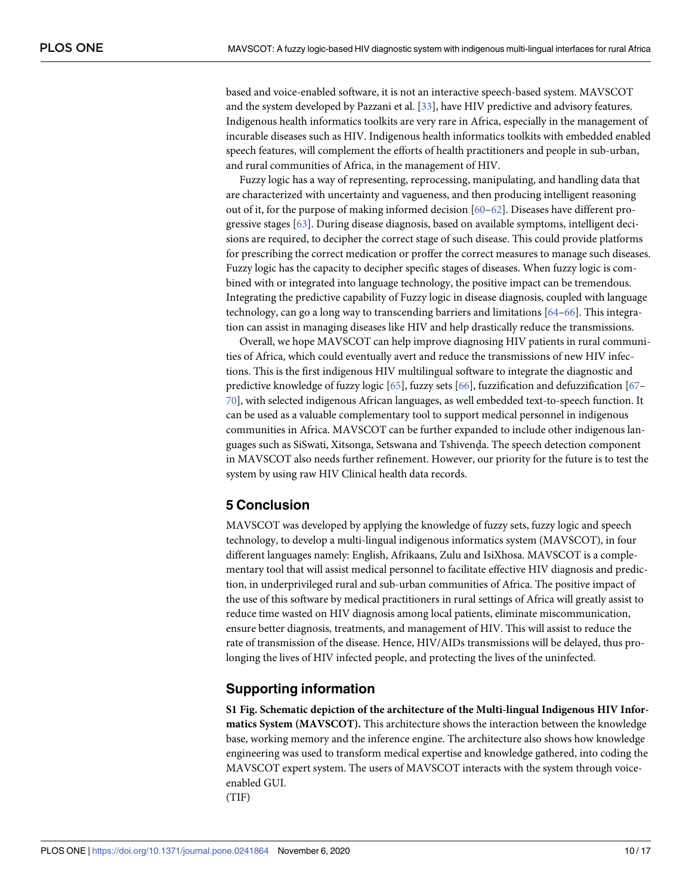<span id="page-9-0"></span>based and voice-enabled software, it is not an interactive speech-based system. MAVSCOT and the system developed by Pazzani et al. [[33](#page-15-0)], have HIV predictive and advisory features. Indigenous health informatics toolkits are very rare in Africa, especially in the management of incurable diseases such as HIV. Indigenous health informatics toolkits with embedded enabled speech features, will complement the efforts of health practitioners and people in sub-urban, and rural communities of Africa, in the management of HIV.

Fuzzy logic has a way of representing, reprocessing, manipulating, and handling data that are characterized with uncertainty and vagueness, and then producing intelligent reasoning out of it, for the purpose of making informed decision  $[60-62]$ . Diseases have different progressive stages [\[63\]](#page-16-0). During disease diagnosis, based on available symptoms, intelligent decisions are required, to decipher the correct stage of such disease. This could provide platforms for prescribing the correct medication or proffer the correct measures to manage such diseases. Fuzzy logic has the capacity to decipher specific stages of diseases. When fuzzy logic is combined with or integrated into language technology, the positive impact can be tremendous. Integrating the predictive capability of Fuzzy logic in disease diagnosis, coupled with language technology, can go a long way to transcending barriers and limitations [[64](#page-16-0)–[66](#page-16-0)]. This integration can assist in managing diseases like HIV and help drastically reduce the transmissions.

Overall, we hope MAVSCOT can help improve diagnosing HIV patients in rural communities of Africa, which could eventually avert and reduce the transmissions of new HIV infections. This is the first indigenous HIV multilingual software to integrate the diagnostic and predictive knowledge of fuzzy logic [\[65\]](#page-16-0), fuzzy sets [[66](#page-16-0)], fuzzification and defuzzification [[67](#page-16-0)– [70\]](#page-16-0), with selected indigenous African languages, as well embedded text-to-speech function. It can be used as a valuable complementary tool to support medical personnel in indigenous communities in Africa. MAVSCOT can be further expanded to include other indigenous languages such as SiSwati, Xitsonga, Setswana and Tshivenda. The speech detection component<br>in MANSCOT also needs further refinement. However, our priority for the future is to test th in MAVSCOT also needs further refinement. However, our priority for the future is to test the system by using raw HIV Clinical health data records.

#### **5 Conclusion**

MAVSCOT was developed by applying the knowledge of fuzzy sets, fuzzy logic and speech technology, to develop a multi-lingual indigenous informatics system (MAVSCOT), in four different languages namely: English, Afrikaans, Zulu and IsiXhosa. MAVSCOT is a complementary tool that will assist medical personnel to facilitate effective HIV diagnosis and prediction, in underprivileged rural and sub-urban communities of Africa. The positive impact of the use of this software by medical practitioners in rural settings of Africa will greatly assist to reduce time wasted on HIV diagnosis among local patients, eliminate miscommunication, ensure better diagnosis, treatments, and management of HIV. This will assist to reduce the rate of transmission of the disease. Hence, HIV/AIDs transmissions will be delayed, thus prolonging the lives of HIV infected people, and protecting the lives of the uninfected.

#### **Supporting information**

**S1 [Fig](http://www.plosone.org/article/fetchSingleRepresentation.action?uri=info:doi/10.1371/journal.pone.0241864.s001). Schematic depiction of the architecture of the Multi-lingual Indigenous HIV Informatics System (MAVSCOT).** This architecture shows the interaction between the knowledge base, working memory and the inference engine. The architecture also shows how knowledge engineering was used to transform medical expertise and knowledge gathered, into coding the MAVSCOT expert system. The users of MAVSCOT interacts with the system through voiceenabled GUI. (TIF)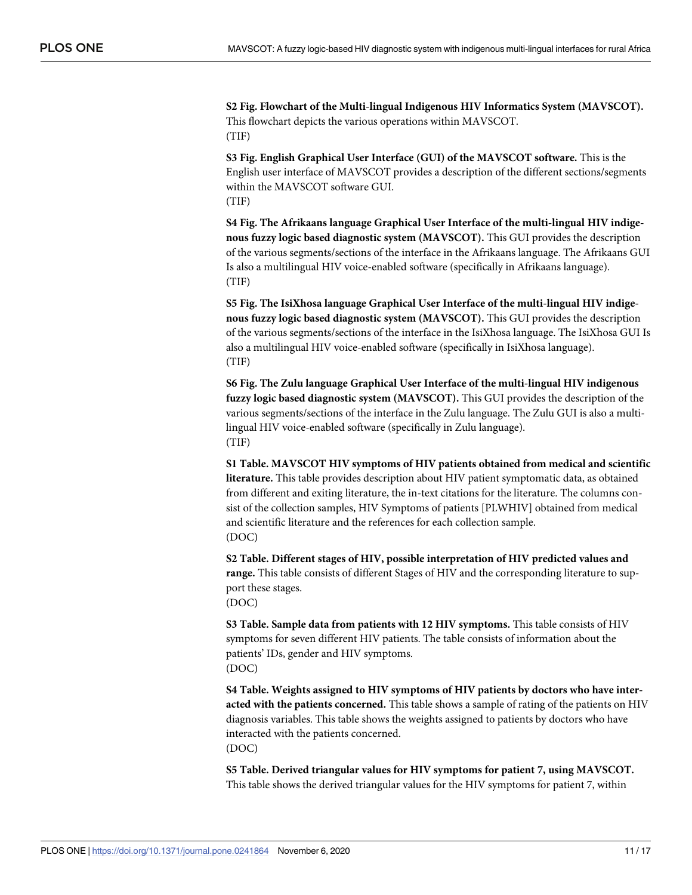<span id="page-10-0"></span>**S2 [Fig](http://www.plosone.org/article/fetchSingleRepresentation.action?uri=info:doi/10.1371/journal.pone.0241864.s002). Flowchart of the Multi-lingual Indigenous HIV Informatics System (MAVSCOT).** This flowchart depicts the various operations within MAVSCOT. (TIF)

**S3 [Fig](http://www.plosone.org/article/fetchSingleRepresentation.action?uri=info:doi/10.1371/journal.pone.0241864.s003). English Graphical User Interface (GUI) of the MAVSCOT software.** This is the English user interface of MAVSCOT provides a description of the different sections/segments within the MAVSCOT software GUI. (TIF)

**S4 [Fig](http://www.plosone.org/article/fetchSingleRepresentation.action?uri=info:doi/10.1371/journal.pone.0241864.s004). The Afrikaans language Graphical User Interface of the multi-lingual HIV indigenous fuzzy logic based diagnostic system (MAVSCOT).** This GUI provides the description of the various segments/sections of the interface in the Afrikaans language. The Afrikaans GUI Is also a multilingual HIV voice-enabled software (specifically in Afrikaans language). (TIF)

**S5 [Fig](http://www.plosone.org/article/fetchSingleRepresentation.action?uri=info:doi/10.1371/journal.pone.0241864.s005). The IsiXhosa language Graphical User Interface of the multi-lingual HIV indigenous fuzzy logic based diagnostic system (MAVSCOT).** This GUI provides the description of the various segments/sections of the interface in the IsiXhosa language. The IsiXhosa GUI Is also a multilingual HIV voice-enabled software (specifically in IsiXhosa language). (TIF)

**S6 [Fig](http://www.plosone.org/article/fetchSingleRepresentation.action?uri=info:doi/10.1371/journal.pone.0241864.s006). The Zulu language Graphical User Interface of the multi-lingual HIV indigenous fuzzy logic based diagnostic system (MAVSCOT).** This GUI provides the description of the various segments/sections of the interface in the Zulu language. The Zulu GUI is also a multilingual HIV voice-enabled software (specifically in Zulu language). (TIF)

**S1 [Table.](http://www.plosone.org/article/fetchSingleRepresentation.action?uri=info:doi/10.1371/journal.pone.0241864.s007) MAVSCOT HIV symptoms of HIV patients obtained from medical and scientific literature.** This table provides description about HIV patient symptomatic data, as obtained from different and exiting literature, the in-text citations for the literature. The columns consist of the collection samples, HIV Symptoms of patients [PLWHIV] obtained from medical and scientific literature and the references for each collection sample. (DOC)

**S2 [Table.](http://www.plosone.org/article/fetchSingleRepresentation.action?uri=info:doi/10.1371/journal.pone.0241864.s008) Different stages of HIV, possible interpretation of HIV predicted values and range.** This table consists of different Stages of HIV and the corresponding literature to support these stages. (DOC)

**S3 [Table.](http://www.plosone.org/article/fetchSingleRepresentation.action?uri=info:doi/10.1371/journal.pone.0241864.s009) Sample data from patients with 12 HIV symptoms.** This table consists of HIV symptoms for seven different HIV patients. The table consists of information about the patients' IDs, gender and HIV symptoms. (DOC)

**S4 [Table.](http://www.plosone.org/article/fetchSingleRepresentation.action?uri=info:doi/10.1371/journal.pone.0241864.s010) Weights assigned to HIV symptoms of HIV patients by doctors who have interacted with the patients concerned.** This table shows a sample of rating of the patients on HIV diagnosis variables. This table shows the weights assigned to patients by doctors who have interacted with the patients concerned. (DOC)

**S5 [Table.](http://www.plosone.org/article/fetchSingleRepresentation.action?uri=info:doi/10.1371/journal.pone.0241864.s011) Derived triangular values for HIV symptoms for patient 7, using MAVSCOT.** This table shows the derived triangular values for the HIV symptoms for patient 7, within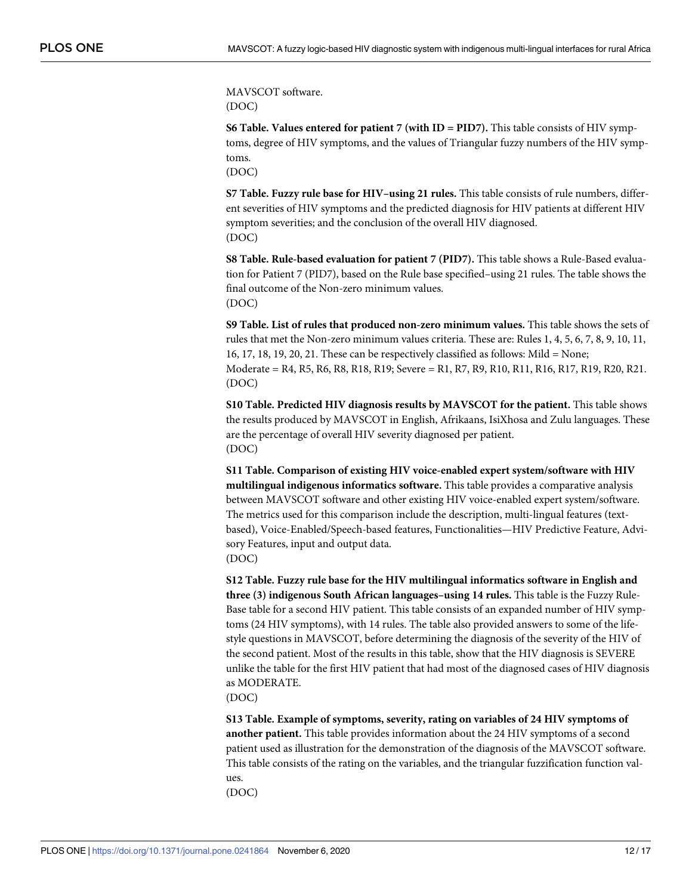<span id="page-11-0"></span>MAVSCOT software. (DOC)

**S6 [Table.](http://www.plosone.org/article/fetchSingleRepresentation.action?uri=info:doi/10.1371/journal.pone.0241864.s012) Values entered for patient 7 (with ID = PID7).** This table consists of HIV symptoms, degree of HIV symptoms, and the values of Triangular fuzzy numbers of the HIV symptoms.

(DOC)

**S7 [Table.](http://www.plosone.org/article/fetchSingleRepresentation.action?uri=info:doi/10.1371/journal.pone.0241864.s013) Fuzzy rule base for HIV–using 21 rules.** This table consists of rule numbers, different severities of HIV symptoms and the predicted diagnosis for HIV patients at different HIV symptom severities; and the conclusion of the overall HIV diagnosed. (DOC)

**S8 [Table.](http://www.plosone.org/article/fetchSingleRepresentation.action?uri=info:doi/10.1371/journal.pone.0241864.s014) Rule-based evaluation for patient 7 (PID7).** This table shows a Rule-Based evaluation for Patient 7 (PID7), based on the Rule base specified–using 21 rules. The table shows the final outcome of the Non-zero minimum values. (DOC)

**S9 [Table.](http://www.plosone.org/article/fetchSingleRepresentation.action?uri=info:doi/10.1371/journal.pone.0241864.s015) List of rules that produced non-zero minimum values.** This table shows the sets of rules that met the Non-zero minimum values criteria. These are: Rules 1, 4, 5, 6, 7, 8, 9, 10, 11, 16, 17, 18, 19, 20, 21. These can be respectively classified as follows: Mild = None; Moderate = R4, R5, R6, R8, R18, R19; Severe = R1, R7, R9, R10, R11, R16, R17, R19, R20, R21. (DOC)

**S10 [Table.](http://www.plosone.org/article/fetchSingleRepresentation.action?uri=info:doi/10.1371/journal.pone.0241864.s016) Predicted HIV diagnosis results by MAVSCOT for the patient.** This table shows the results produced by MAVSCOT in English, Afrikaans, IsiXhosa and Zulu languages. These are the percentage of overall HIV severity diagnosed per patient. (DOC)

**S11 [Table.](http://www.plosone.org/article/fetchSingleRepresentation.action?uri=info:doi/10.1371/journal.pone.0241864.s017) Comparison of existing HIV voice-enabled expert system/software with HIV multilingual indigenous informatics software.** This table provides a comparative analysis between MAVSCOT software and other existing HIV voice-enabled expert system/software. The metrics used for this comparison include the description, multi-lingual features (textbased), Voice-Enabled/Speech-based features, Functionalities—HIV Predictive Feature, Advisory Features, input and output data. (DOC)

**S12 [Table.](http://www.plosone.org/article/fetchSingleRepresentation.action?uri=info:doi/10.1371/journal.pone.0241864.s018) Fuzzy rule base for the HIV multilingual informatics software in English and three (3) indigenous South African languages–using 14 rules.** This table is the Fuzzy Rule-Base table for a second HIV patient. This table consists of an expanded number of HIV symptoms (24 HIV symptoms), with 14 rules. The table also provided answers to some of the lifestyle questions in MAVSCOT, before determining the diagnosis of the severity of the HIV of the second patient. Most of the results in this table, show that the HIV diagnosis is SEVERE unlike the table for the first HIV patient that had most of the diagnosed cases of HIV diagnosis as MODERATE.

(DOC)

**S13 [Table.](http://www.plosone.org/article/fetchSingleRepresentation.action?uri=info:doi/10.1371/journal.pone.0241864.s019) Example of symptoms, severity, rating on variables of 24 HIV symptoms of another patient.** This table provides information about the 24 HIV symptoms of a second patient used as illustration for the demonstration of the diagnosis of the MAVSCOT software. This table consists of the rating on the variables, and the triangular fuzzification function values.

(DOC)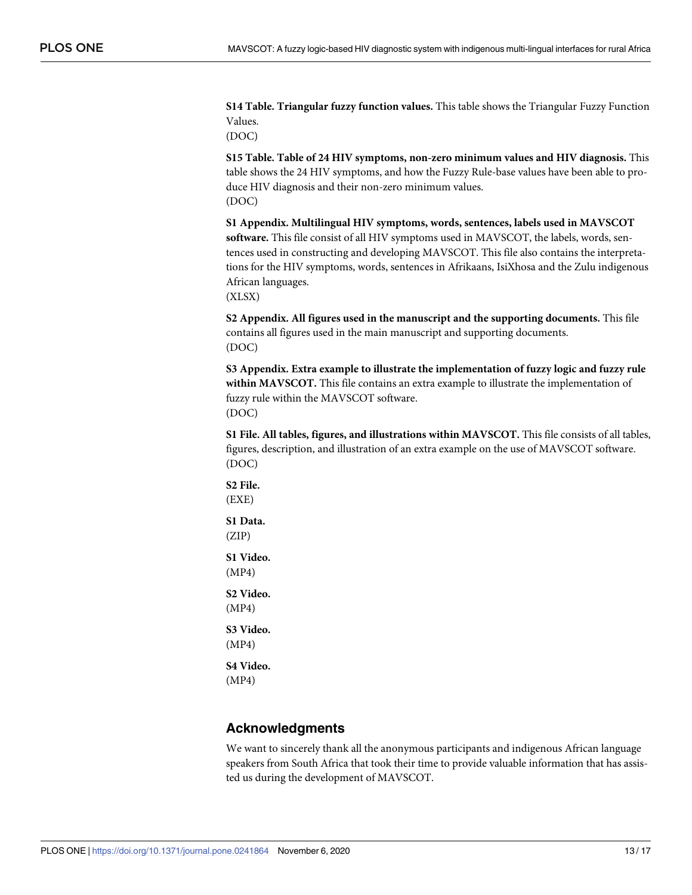<span id="page-12-0"></span>**S14 [Table.](http://www.plosone.org/article/fetchSingleRepresentation.action?uri=info:doi/10.1371/journal.pone.0241864.s020) Triangular fuzzy function values.** This table shows the Triangular Fuzzy Function Values.

(DOC)

**S15 [Table.](http://www.plosone.org/article/fetchSingleRepresentation.action?uri=info:doi/10.1371/journal.pone.0241864.s021) Table of 24 HIV symptoms, non-zero minimum values and HIV diagnosis.** This table shows the 24 HIV symptoms, and how the Fuzzy Rule-base values have been able to produce HIV diagnosis and their non-zero minimum values. (DOC)

**S1 [Appendix](http://www.plosone.org/article/fetchSingleRepresentation.action?uri=info:doi/10.1371/journal.pone.0241864.s022). Multilingual HIV symptoms, words, sentences, labels used in MAVSCOT software.** This file consist of all HIV symptoms used in MAVSCOT, the labels, words, sentences used in constructing and developing MAVSCOT. This file also contains the interpretations for the HIV symptoms, words, sentences in Afrikaans, IsiXhosa and the Zulu indigenous African languages.

(XLSX)

**S2 [Appendix](http://www.plosone.org/article/fetchSingleRepresentation.action?uri=info:doi/10.1371/journal.pone.0241864.s023). All figures used in the manuscript and the supporting documents.** This file contains all figures used in the main manuscript and supporting documents. (DOC)

**S3 [Appendix](http://www.plosone.org/article/fetchSingleRepresentation.action?uri=info:doi/10.1371/journal.pone.0241864.s024). Extra example to illustrate the implementation of fuzzy logic and fuzzy rule within MAVSCOT.** This file contains an extra example to illustrate the implementation of fuzzy rule within the MAVSCOT software. (DOC)

**S1 [File.](http://www.plosone.org/article/fetchSingleRepresentation.action?uri=info:doi/10.1371/journal.pone.0241864.s025) All tables, figures, and illustrations within MAVSCOT.** This file consists of all tables, figures, description, and illustration of an extra example on the use of MAVSCOT software. (DOC)

**S2 [File.](http://www.plosone.org/article/fetchSingleRepresentation.action?uri=info:doi/10.1371/journal.pone.0241864.s026)** (EXE)

**S1 [Data](http://www.plosone.org/article/fetchSingleRepresentation.action?uri=info:doi/10.1371/journal.pone.0241864.s027).** (ZIP)

**S1 [Video](http://www.plosone.org/article/fetchSingleRepresentation.action?uri=info:doi/10.1371/journal.pone.0241864.s028).** (MP4)

**S2 [Video](http://www.plosone.org/article/fetchSingleRepresentation.action?uri=info:doi/10.1371/journal.pone.0241864.s029).** (MP4)

**S3 [Video](http://www.plosone.org/article/fetchSingleRepresentation.action?uri=info:doi/10.1371/journal.pone.0241864.s030).** (MP4)

**S4 [Video](http://www.plosone.org/article/fetchSingleRepresentation.action?uri=info:doi/10.1371/journal.pone.0241864.s031).** (MP4)

#### **Acknowledgments**

We want to sincerely thank all the anonymous participants and indigenous African language speakers from South Africa that took their time to provide valuable information that has assisted us during the development of MAVSCOT.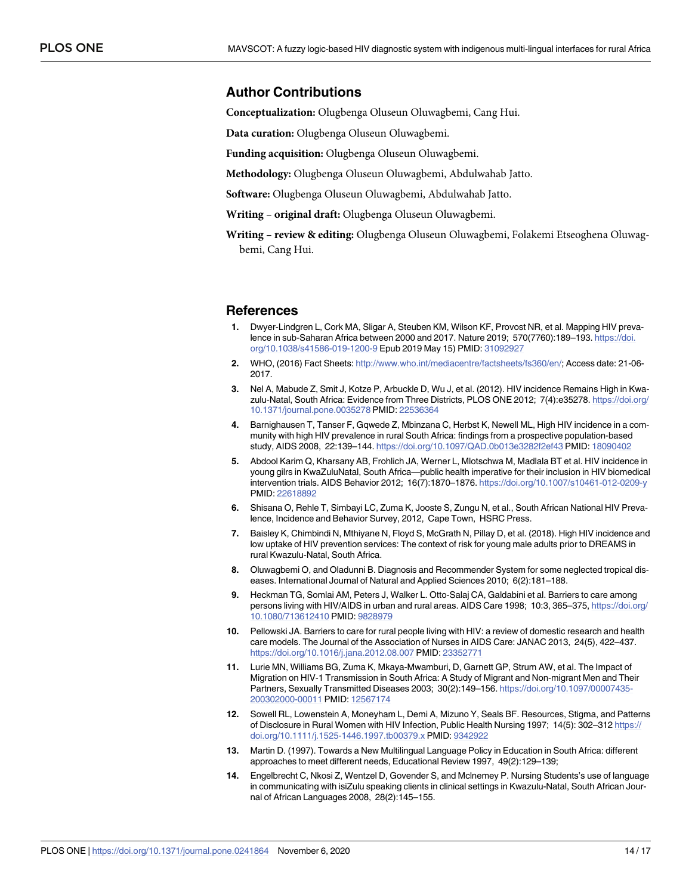#### <span id="page-13-0"></span>**Author Contributions**

**Conceptualization:** Olugbenga Oluseun Oluwagbemi, Cang Hui.

**Data curation:** Olugbenga Oluseun Oluwagbemi.

**Funding acquisition:** Olugbenga Oluseun Oluwagbemi.

**Methodology:** Olugbenga Oluseun Oluwagbemi, Abdulwahab Jatto.

**Software:** Olugbenga Oluseun Oluwagbemi, Abdulwahab Jatto.

**Writing – original draft:** Olugbenga Oluseun Oluwagbemi.

**Writing – review & editing:** Olugbenga Oluseun Oluwagbemi, Folakemi Etseoghena Oluwagbemi, Cang Hui.

#### **References**

- **[1](#page-0-0).** Dwyer-Lindgren L, Cork MA, Sligar A, Steuben KM, Wilson KF, Provost NR, et al. Mapping HIV prevalence in sub-Saharan Africa between 2000 and 2017. Nature 2019; 570(7760):189–193. [https://doi.](https://doi.org/10.1038/s41586-019-1200-9) [org/10.1038/s41586-019-1200-9](https://doi.org/10.1038/s41586-019-1200-9) Epub 2019 May 15) PMID: [31092927](http://www.ncbi.nlm.nih.gov/pubmed/31092927)
- **[2](#page-0-0).** WHO, (2016) Fact Sheets: <http://www.who.int/mediacentre/factsheets/fs360/en/>; Access date: 21-06- 2017.
- **[3](#page-1-0).** Nel A, Mabude Z, Smit J, Kotze P, Arbuckle D, Wu J, et al. (2012). HIV incidence Remains High in Kwazulu-Natal, South Africa: Evidence from Three Districts, PLOS ONE 2012; 7(4):e35278. [https://doi.org/](https://doi.org/10.1371/journal.pone.0035278) [10.1371/journal.pone.0035278](https://doi.org/10.1371/journal.pone.0035278) PMID: [22536364](http://www.ncbi.nlm.nih.gov/pubmed/22536364)
- **4.** Barnighausen T, Tanser F, Gqwede Z, Mbinzana C, Herbst K, Newell ML, High HIV incidence in a community with high HIV prevalence in rural South Africa: findings from a prospective population-based study, AIDS 2008, 22:139–144. <https://doi.org/10.1097/QAD.0b013e3282f2ef43> PMID: [18090402](http://www.ncbi.nlm.nih.gov/pubmed/18090402)
- **5.** Abdool Karim Q, Kharsany AB, Frohlich JA, Werner L, Mlotschwa M, Madlala BT et al. HIV incidence in young gilrs in KwaZuluNatal, South Africa—public health imperative for their inclusion in HIV biomedical intervention trials. AIDS Behavior 2012; 16(7):1870–1876. <https://doi.org/10.1007/s10461-012-0209-y> PMID: [22618892](http://www.ncbi.nlm.nih.gov/pubmed/22618892)
- **[6](#page-1-0).** Shisana O, Rehle T, Simbayi LC, Zuma K, Jooste S, Zungu N, et al., South African National HIV Prevalence, Incidence and Behavior Survey, 2012, Cape Town, HSRC Press.
- **[7](#page-1-0).** Baisley K, Chimbindi N, Mthiyane N, Floyd S, McGrath N, Pillay D, et al. (2018). High HIV incidence and low uptake of HIV prevention services: The context of risk for young male adults prior to DREAMS in rural Kwazulu-Natal, South Africa.
- **[8](#page-1-0).** Oluwagbemi O, and Oladunni B. Diagnosis and Recommender System for some neglected tropical diseases. International Journal of Natural and Applied Sciences 2010; 6(2):181–188.
- **[9](#page-1-0).** Heckman TG, Somlai AM, Peters J, Walker L. Otto-Salaj CA, Galdabini et al. Barriers to care among persons living with HIV/AIDS in urban and rural areas. AIDS Care 1998; 10:3, 365–375, [https://doi.org/](https://doi.org/10.1080/713612410) [10.1080/713612410](https://doi.org/10.1080/713612410) PMID: [9828979](http://www.ncbi.nlm.nih.gov/pubmed/9828979)
- **10.** Pellowski JA. Barriers to care for rural people living with HIV: a review of domestic research and health care models. The Journal of the Association of Nurses in AIDS Care: JANAC 2013, 24(5), 422–437. <https://doi.org/10.1016/j.jana.2012.08.007> PMID: [23352771](http://www.ncbi.nlm.nih.gov/pubmed/23352771)
- **[11](#page-1-0).** Lurie MN, Williams BG, Zuma K, Mkaya-Mwamburi, D, Garnett GP, Strum AW, et al. The Impact of Migration on HIV-1 Transmission in South Africa: A Study of Migrant and Non-migrant Men and Their Partners, Sexually Transmitted Diseases 2003; 30(2):149–156. [https://doi.org/10.1097/00007435-](https://doi.org/10.1097/00007435-200302000-00011) [200302000-00011](https://doi.org/10.1097/00007435-200302000-00011) PMID: [12567174](http://www.ncbi.nlm.nih.gov/pubmed/12567174)
- **[12](#page-1-0).** Sowell RL, Lowenstein A, Moneyham L, Demi A, Mizuno Y, Seals BF. Resources, Stigma, and Patterns of Disclosure in Rural Women with HIV Infection, Public Health Nursing 1997; 14(5): 302–312 [https://](https://doi.org/10.1111/j.1525-1446.1997.tb00379.x) [doi.org/10.1111/j.1525-1446.1997.tb00379.x](https://doi.org/10.1111/j.1525-1446.1997.tb00379.x) PMID: [9342922](http://www.ncbi.nlm.nih.gov/pubmed/9342922)
- **[13](#page-1-0).** Martin D. (1997). Towards a New Multilingual Language Policy in Education in South Africa: different approaches to meet different needs, Educational Review 1997, 49(2):129–139;
- **14.** Engelbrecht C, Nkosi Z, Wentzel D, Govender S, and Mclnemey P. Nursing Students's use of language in communicating with isiZulu speaking clients in clinical settings in Kwazulu-Natal, South African Journal of African Languages 2008, 28(2):145–155.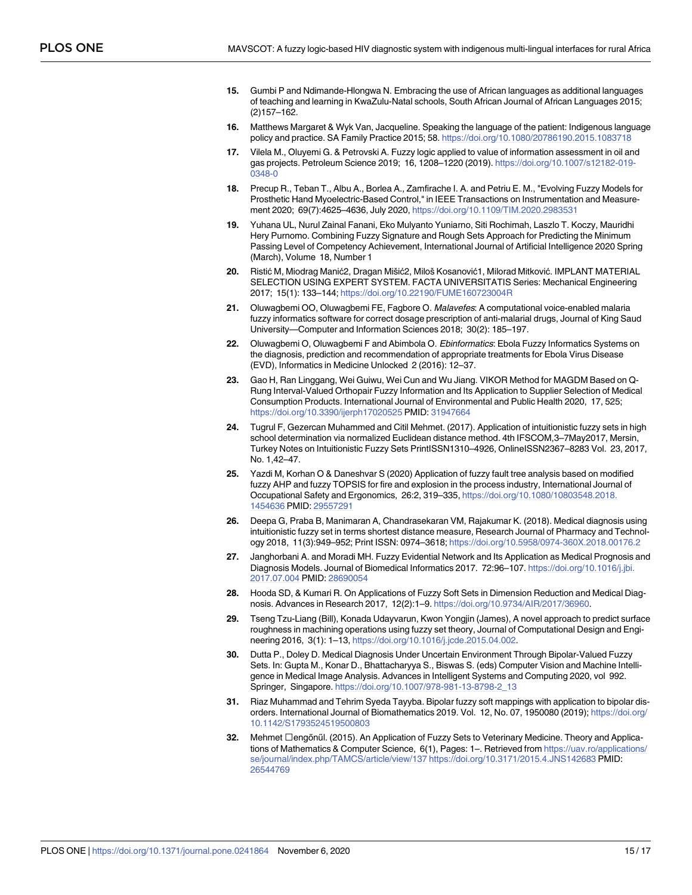- <span id="page-14-0"></span>**[15](#page-1-0).** Gumbi P and Ndimande-Hlongwa N. Embracing the use of African languages as additional languages of teaching and learning in KwaZulu-Natal schools, South African Journal of African Languages 2015; (2)157–162.
- **[16](#page-1-0).** Matthews Margaret & Wyk Van, Jacqueline. Speaking the language of the patient: Indigenous language policy and practice. SA Family Practice 2015; 58. <https://doi.org/10.1080/20786190.2015.1083718>
- **[17](#page-1-0).** Vilela M., Oluyemi G. & Petrovski A. Fuzzy logic applied to value of information assessment in oil and gas projects. Petroleum Science 2019; 16, 1208–1220 (2019). [https://doi.org/10.1007/s12182-019-](https://doi.org/10.1007/s12182-019-0348-0) [0348-0](https://doi.org/10.1007/s12182-019-0348-0)
- **18.** Precup R., Teban T., Albu A., Borlea A., Zamfirache I. A. and Petriu E. M., "Evolving Fuzzy Models for Prosthetic Hand Myoelectric-Based Control," in IEEE Transactions on Instrumentation and Measurement 2020; 69(7):4625–4636, July 2020, <https://doi.org/10.1109/TIM.2020.2983531>
- **19.** Yuhana UL, Nurul Zainal Fanani, Eko Mulyanto Yuniarno, Siti Rochimah, Laszlo T. Koczy, Mauridhi Hery Purnomo. Combining Fuzzy Signature and Rough Sets Approach for Predicting the Minimum Passing Level of Competency Achievement, International Journal of Artificial Intelligence 2020 Spring (March), Volume 18, Number 1
- 20. Ristić M, Miodrag Manić2, Dragan Mišić2, Miloš Kosanović1, Milorad Mitković. IMPLANT MATERIAL SELECTION USING EXPERT SYSTEM. FACTA UNIVERSITATIS Series: Mechanical Engineering 2017; 15(1): 133–144; <https://doi.org/10.22190/FUME160723004R>
- **21.** Oluwagbemi OO, Oluwagbemi FE, Fagbore O. Malavefes: A computational voice-enabled malaria fuzzy informatics software for correct dosage prescription of anti-malarial drugs, Journal of King Saud University—Computer and Information Sciences 2018; 30(2): 185–197.
- **[22](#page-1-0).** Oluwagbemi O, Oluwagbemi F and Abimbola O. Ebinformatics: Ebola Fuzzy Informatics Systems on the diagnosis, prediction and recommendation of appropriate treatments for Ebola Virus Disease (EVD), Informatics in Medicine Unlocked 2 (2016): 12–37.
- **[23](#page-1-0).** Gao H, Ran Linggang, Wei Guiwu, Wei Cun and Wu Jiang. VIKOR Method for MAGDM Based on Q-Rung Interval-Valued Orthopair Fuzzy Information and Its Application to Supplier Selection of Medical Consumption Products. International Journal of Environmental and Public Health 2020, 17, 525; <https://doi.org/10.3390/ijerph17020525> PMID: [31947664](http://www.ncbi.nlm.nih.gov/pubmed/31947664)
- **[24](#page-1-0).** Tugrul F, Gezercan Muhammed and Citil Mehmet. (2017). Application of intuitionistic fuzzy sets in high school determination via normalized Euclidean distance method. 4th IFSCOM,3–7May2017, Mersin, Turkey Notes on Intuitionistic Fuzzy Sets PrintISSN1310–4926, OnlineISSN2367–8283 Vol. 23, 2017, No. 1,42–47.
- **[25](#page-1-0).** Yazdi M, Korhan O & Daneshvar S (2020) Application of fuzzy fault tree analysis based on modified fuzzy AHP and fuzzy TOPSIS for fire and explosion in the process industry, International Journal of Occupational Safety and Ergonomics, 26:2, 319–335, [https://doi.org/10.1080/10803548.2018.](https://doi.org/10.1080/10803548.2018.1454636) [1454636](https://doi.org/10.1080/10803548.2018.1454636) PMID: [29557291](http://www.ncbi.nlm.nih.gov/pubmed/29557291)
- **[26](#page-1-0).** Deepa G, Praba B, Manimaran A, Chandrasekaran VM, Rajakumar K. (2018). Medical diagnosis using intuitionistic fuzzy set in terms shortest distance measure, Research Journal of Pharmacy and Technology 2018, 11(3):949–952; Print ISSN: 0974–3618; <https://doi.org/10.5958/0974-360X.2018.00176.2>
- **[27](#page-2-0).** Janghorbani A. and Moradi MH. Fuzzy Evidential Network and Its Application as Medical Prognosis and Diagnosis Models. Journal of Biomedical Informatics 2017. 72:96-107. [https://doi.org/10.1016/j.jbi.](https://doi.org/10.1016/j.jbi.2017.07.004) [2017.07.004](https://doi.org/10.1016/j.jbi.2017.07.004) PMID: [28690054](http://www.ncbi.nlm.nih.gov/pubmed/28690054)
- **[28](#page-2-0).** Hooda SD, & Kumari R. On Applications of Fuzzy Soft Sets in Dimension Reduction and Medical Diagnosis. Advances in Research 2017, 12(2):1–9. <https://doi.org/10.9734/AIR/2017/36960>.
- **[29](#page-2-0).** Tseng Tzu-Liang (Bill), Konada Udayvarun, Kwon Yongjin (James), A novel approach to predict surface roughness in machining operations using fuzzy set theory, Journal of Computational Design and Engineering 2016, 3(1): 1–13, <https://doi.org/10.1016/j.jcde.2015.04.002>.
- **[30](#page-2-0).** Dutta P., Doley D. Medical Diagnosis Under Uncertain Environment Through Bipolar-Valued Fuzzy Sets. In: Gupta M., Konar D., Bhattacharyya S., Biswas S. (eds) Computer Vision and Machine Intelligence in Medical Image Analysis. Advances in Intelligent Systems and Computing 2020, vol 992. Springer, Singapore. [https://doi.org/10.1007/978-981-13-8798-2\\_13](https://doi.org/10.1007/978-981-13-8798-2_13)
- **31.** Riaz Muhammad and Tehrim Syeda Tayyba. Bipolar fuzzy soft mappings with application to bipolar disorders. International Journal of Biomathematics 2019. Vol. 12, No. 07, 1950080 (2019); [https://doi.org/](https://doi.org/10.1142/S1793524519500803) [10.1142/S1793524519500803](https://doi.org/10.1142/S1793524519500803)
- **[32](#page-2-0).** Mehmet Șengőnűl. (2015). An Application of Fuzzy Sets to Veterinary Medicine. Theory and Applications of Mathematics & Computer Science, 6(1), Pages: 1–. Retrieved from [https://uav.ro/applications/](https://uav.ro/applications/se/journal/index.php/TAMCS/article/view/137) [se/journal/index.php/TAMCS/article/view/137](https://uav.ro/applications/se/journal/index.php/TAMCS/article/view/137) <https://doi.org/10.3171/2015.4.JNS142683> PMID: [26544769](http://www.ncbi.nlm.nih.gov/pubmed/26544769)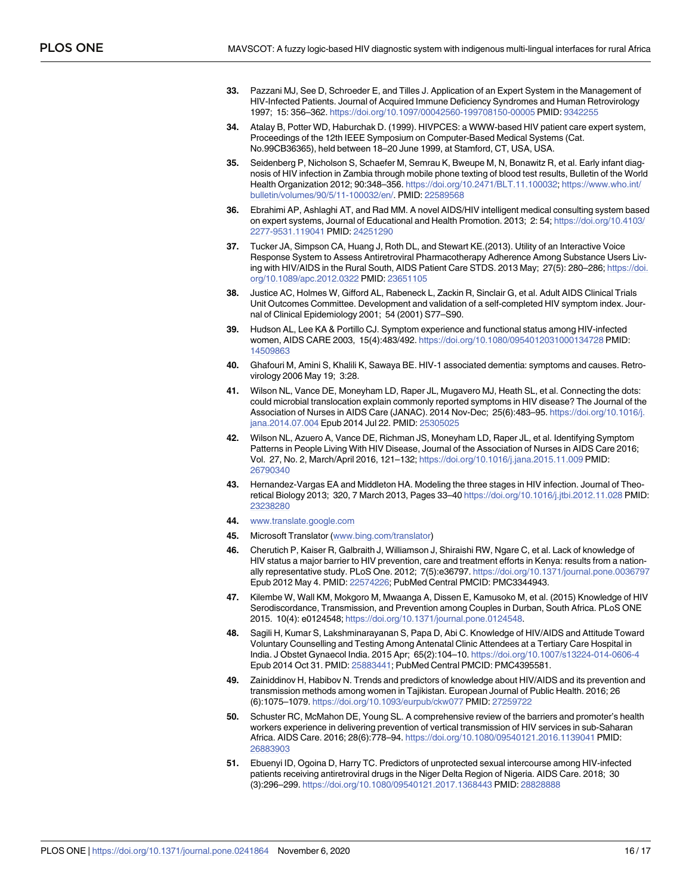- <span id="page-15-0"></span>**[33](#page-2-0).** Pazzani MJ, See D, Schroeder E, and Tilles J. Application of an Expert System in the Management of HIV-Infected Patients. Journal of Acquired Immune Deficiency Syndromes and Human Retrovirology 1997; 15: 356–362. <https://doi.org/10.1097/00042560-199708150-00005> PMID: [9342255](http://www.ncbi.nlm.nih.gov/pubmed/9342255)
- **[34](#page-2-0).** Atalay B, Potter WD, Haburchak D. (1999). HIVPCES: a WWW-based HIV patient care expert system, Proceedings of the 12th IEEE Symposium on Computer-Based Medical Systems (Cat. No.99CB36365), held between 18–20 June 1999, at Stamford, CT, USA, USA.
- **[35](#page-2-0).** Seidenberg P, Nicholson S, Schaefer M, Semrau K, Bweupe M, N, Bonawitz R, et al. Early infant diagnosis of HIV infection in Zambia through mobile phone texting of blood test results, Bulletin of the World Health Organization 2012; 90:348–356. <https://doi.org/10.2471/BLT.11.100032>; [https://www.who.int/](https://www.who.int/bulletin/volumes/90/5/11-100032/en/) [bulletin/volumes/90/5/11-100032/en/](https://www.who.int/bulletin/volumes/90/5/11-100032/en/). PMID: [22589568](http://www.ncbi.nlm.nih.gov/pubmed/22589568)
- **[36](#page-2-0).** Ebrahimi AP, Ashlaghi AT, and Rad MM. A novel AIDS/HIV intelligent medical consulting system based on expert systems, Journal of Educational and Health Promotion. 2013; 2: 54; [https://doi.org/10.4103/](https://doi.org/10.4103/2277-9531.119041) [2277-9531.119041](https://doi.org/10.4103/2277-9531.119041) PMID: [24251290](http://www.ncbi.nlm.nih.gov/pubmed/24251290)
- **[37](#page-2-0).** Tucker JA, Simpson CA, Huang J, Roth DL, and Stewart KE.(2013). Utility of an Interactive Voice Response System to Assess Antiretroviral Pharmacotherapy Adherence Among Substance Users Living with HIV/AIDS in the Rural South, AIDS Patient Care STDS. 2013 May; 27(5): 280–286; [https://doi.](https://doi.org/10.1089/apc.2012.0322) [org/10.1089/apc.2012.0322](https://doi.org/10.1089/apc.2012.0322) PMID: [23651105](http://www.ncbi.nlm.nih.gov/pubmed/23651105)
- **[38](#page-2-0).** Justice AC, Holmes W, Gifford AL, Rabeneck L, Zackin R, Sinclair G, et al. Adult AIDS Clinical Trials Unit Outcomes Committee. Development and validation of a self-completed HIV symptom index. Journal of Clinical Epidemiology 2001; 54 (2001) S77–S90.
- **39.** Hudson AL, Lee KA & Portillo CJ. Symptom experience and functional status among HIV-infected women, AIDS CARE 2003, 15(4):483/492. <https://doi.org/10.1080/0954012031000134728> PMID: [14509863](http://www.ncbi.nlm.nih.gov/pubmed/14509863)
- **40.** Ghafouri M, Amini S, Khalili K, Sawaya BE. HIV-1 associated dementia: symptoms and causes. Retrovirology 2006 May 19; 3:28.
- **41.** Wilson NL, Vance DE, Moneyham LD, Raper JL, Mugavero MJ, Heath SL, et al. Connecting the dots: could microbial translocation explain commonly reported symptoms in HIV disease? The Journal of the Association of Nurses in AIDS Care (JANAC). 2014 Nov-Dec; 25(6):483–95. [https://doi.org/10.1016/j.](https://doi.org/10.1016/j.jana.2014.07.004) [jana.2014.07.004](https://doi.org/10.1016/j.jana.2014.07.004) Epub 2014 Jul 22. PMID: [25305025](http://www.ncbi.nlm.nih.gov/pubmed/25305025)
- **[42](#page-2-0).** Wilson NL, Azuero A, Vance DE, Richman JS, Moneyham LD, Raper JL, et al. Identifying Symptom Patterns in People Living With HIV Disease, Journal of the Association of Nurses in AIDS Care 2016; Vol. 27, No. 2, March/April 2016, 121–132; <https://doi.org/10.1016/j.jana.2015.11.009> PMID: [26790340](http://www.ncbi.nlm.nih.gov/pubmed/26790340)
- **[43](#page-2-0).** Hernandez-Vargas EA and Middleton HA. Modeling the three stages in HIV infection. Journal of Theoretical Biology 2013; 320, 7 March 2013, Pages 33–40 <https://doi.org/10.1016/j.jtbi.2012.11.028> PMID: [23238280](http://www.ncbi.nlm.nih.gov/pubmed/23238280)
- **[44](#page-2-0).** [www.translate.google.com](http://www.translate.google.com)
- **[45](#page-2-0).** Microsoft Translator [\(www.bing.com/translator](http://www.bing.com/translator))
- **[46](#page-3-0).** Cherutich P, Kaiser R, Galbraith J, Williamson J, Shiraishi RW, Ngare C, et al. Lack of knowledge of HIV status a major barrier to HIV prevention, care and treatment efforts in Kenya: results from a nationally representative study. PLoS One. 2012; 7(5):e36797. <https://doi.org/10.1371/journal.pone.0036797> Epub 2012 May 4. PMID: [22574226](http://www.ncbi.nlm.nih.gov/pubmed/22574226); PubMed Central PMCID: PMC3344943.
- **47.** Kilembe W, Wall KM, Mokgoro M, Mwaanga A, Dissen E, Kamusoko M, et al. (2015) Knowledge of HIV Serodiscordance, Transmission, and Prevention among Couples in Durban, South Africa. PLoS ONE 2015. 10(4): e0124548; <https://doi.org/10.1371/journal.pone.0124548>.
- **48.** Sagili H, Kumar S, Lakshminarayanan S, Papa D, Abi C. Knowledge of HIV/AIDS and Attitude Toward Voluntary Counselling and Testing Among Antenatal Clinic Attendees at a Tertiary Care Hospital in India. J Obstet Gynaecol India. 2015 Apr; 65(2):104–10. <https://doi.org/10.1007/s13224-014-0606-4> Epub 2014 Oct 31. PMID: [25883441](http://www.ncbi.nlm.nih.gov/pubmed/25883441); PubMed Central PMCID: PMC4395581.
- **49.** Zainiddinov H, Habibov N. Trends and predictors of knowledge about HIV/AIDS and its prevention and transmission methods among women in Tajikistan. European Journal of Public Health. 2016; 26 (6):1075–1079. <https://doi.org/10.1093/eurpub/ckw077> PMID: [27259722](http://www.ncbi.nlm.nih.gov/pubmed/27259722)
- **50.** Schuster RC, McMahon DE, Young SL. A comprehensive review of the barriers and promoter's health workers experience in delivering prevention of vertical transmission of HIV services in sub-Saharan Africa. AIDS Care. 2016; 28(6):778–94. <https://doi.org/10.1080/09540121.2016.1139041> PMID: [26883903](http://www.ncbi.nlm.nih.gov/pubmed/26883903)
- **51.** Ebuenyi ID, Ogoina D, Harry TC. Predictors of unprotected sexual intercourse among HIV-infected patients receiving antiretroviral drugs in the Niger Delta Region of Nigeria. AIDS Care. 2018; 30 (3):296–299. <https://doi.org/10.1080/09540121.2017.1368443> PMID: [28828888](http://www.ncbi.nlm.nih.gov/pubmed/28828888)